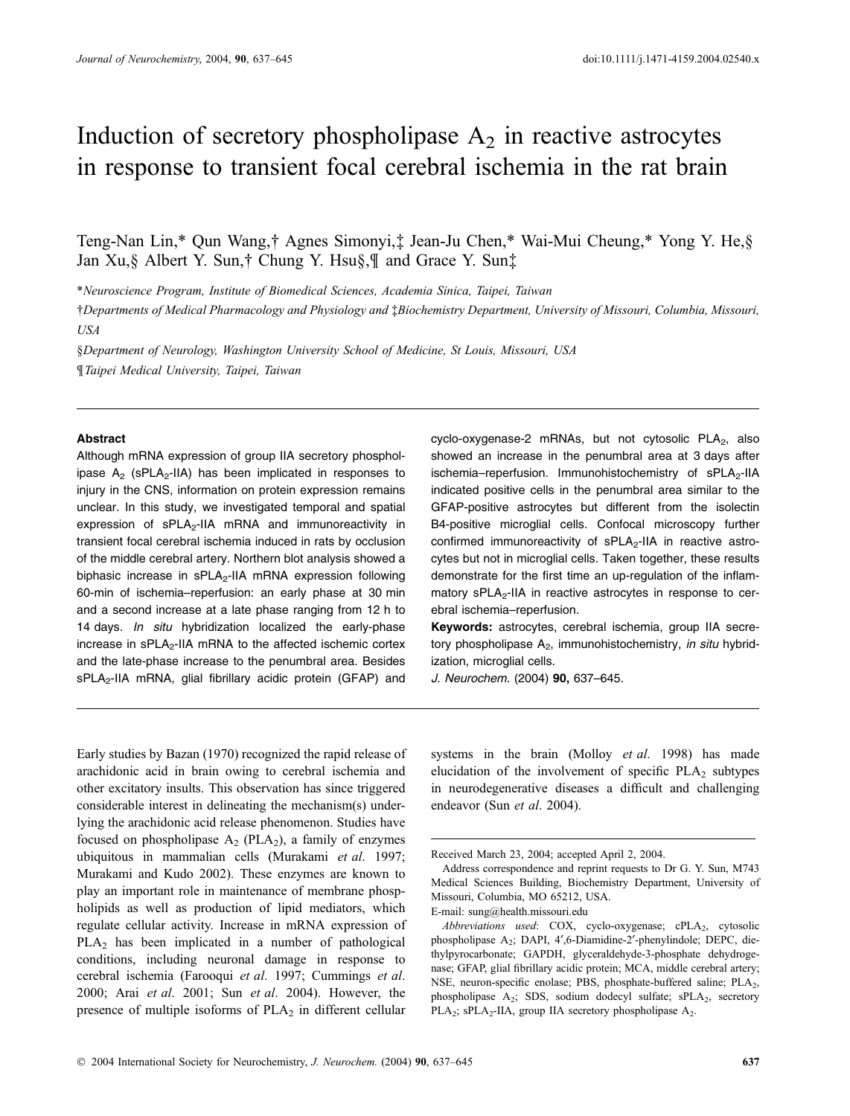# Induction of secretory phospholipase  $A_2$  in reactive astrocytes in response to transient focal cerebral ischemia in the rat brain

Teng-Nan Lin,\* Qun Wang,† Agnes Simonyi,‡ Jean-Ju Chen,\* Wai-Mui Cheung,\* Yong Y. He,§ Jan Xu, § Albert Y. Sun, † Chung Y. Hsu §, ¶ and Grace Y. Sun‡

\*Neuroscience Program, Institute of Biomedical Sciences, Academia Sinica, Taipei, Taiwan

†Departments of Medical Pharmacology and Physiology and ‡Biochemistry Department, University of Missouri, Columbia, Missouri, USA

§Department of Neurology, Washington University School of Medicine, St Louis, Missouri, USA ¶Taipei Medical University, Taipei, Taiwan

#### **Abstract**

Although mRNA expression of group IIA secretory phospholipase  $A_2$  (sPLA<sub>2</sub>-IIA) has been implicated in responses to injury in the CNS, information on protein expression remains unclear. In this study, we investigated temporal and spatial expression of sPLA<sub>2</sub>-IIA mRNA and immunoreactivity in transient focal cerebral ischemia induced in rats by occlusion of the middle cerebral artery. Northern blot analysis showed a biphasic increase in  $sPLA_2$ -IIA mRNA expression following 60-min of ischemia–reperfusion: an early phase at 30 min and a second increase at a late phase ranging from 12 h to 14 days. In situ hybridization localized the early-phase increase in  $sPLA_2$ -IIA mRNA to the affected ischemic cortex and the late-phase increase to the penumbral area. Besides sPLA<sub>2</sub>-IIA mRNA, glial fibrillary acidic protein (GFAP) and cyclo-oxygenase-2 mRNAs, but not cytosolic PLA<sub>2</sub>, also showed an increase in the penumbral area at 3 days after ischemia–reperfusion. Immunohistochemistry of  $sPLA_2$ -IIA indicated positive cells in the penumbral area similar to the GFAP-positive astrocytes but different from the isolectin B4-positive microglial cells. Confocal microscopy further confirmed immunoreactivity of  $sPLA_2$ -IIA in reactive astrocytes but not in microglial cells. Taken together, these results demonstrate for the first time an up-regulation of the inflammatory sPLA<sub>2</sub>-IIA in reactive astrocytes in response to cerebral ischemia–reperfusion.

Keywords: astrocytes, cerebral ischemia, group IIA secretory phospholipase  $A_2$ , immunohistochemistry, in situ hybridization, microglial cells.

J. Neurochem. (2004) 90, 637–645.

Early studies by Bazan (1970) recognized the rapid release of arachidonic acid in brain owing to cerebral ischemia and other excitatory insults. This observation has since triggered considerable interest in delineating the mechanism(s) underlying the arachidonic acid release phenomenon. Studies have focused on phospholipase  $A_2$  (PLA<sub>2</sub>), a family of enzymes ubiquitous in mammalian cells (Murakami et al. 1997; Murakami and Kudo 2002). These enzymes are known to play an important role in maintenance of membrane phospholipids as well as production of lipid mediators, which regulate cellular activity. Increase in mRNA expression of PLA2 has been implicated in a number of pathological conditions, including neuronal damage in response to cerebral ischemia (Farooqui et al. 1997; Cummings et al. 2000; Arai et al. 2001; Sun et al. 2004). However, the presence of multiple isoforms of  $PLA<sub>2</sub>$  in different cellular

systems in the brain (Molloy *et al.* 1998) has made elucidation of the involvement of specific  $PLA_2$  subtypes in neurodegenerative diseases a difficult and challenging endeavor (Sun et al. 2004).

Received March 23, 2004; accepted April 2, 2004.

Address correspondence and reprint requests to Dr G. Y. Sun, M743 Medical Sciences Building, Biochemistry Department, University of Missouri, Columbia, MO 65212, USA.

E-mail: sung@health.missouri.edu

Abbreviations used:  $COX$ , cyclo-oxygenase; cPLA<sub>2</sub>, cytosolic phospholipase  $A_2$ ; DAPI, 4',6-Diamidine-2'-phenylindole; DEPC, diethylpyrocarbonate; GAPDH, glyceraldehyde-3-phosphate dehydrogenase; GFAP, glial fibrillary acidic protein; MCA, middle cerebral artery; NSE, neuron-specific enolase; PBS, phosphate-buffered saline; PLA<sub>2</sub>, phospholipase  $A_2$ ; SDS, sodium dodecyl sulfate; sPLA $_2$ , secretory PLA<sub>2</sub>; sPLA<sub>2</sub>-IIA, group IIA secretory phospholipase  $A_2$ .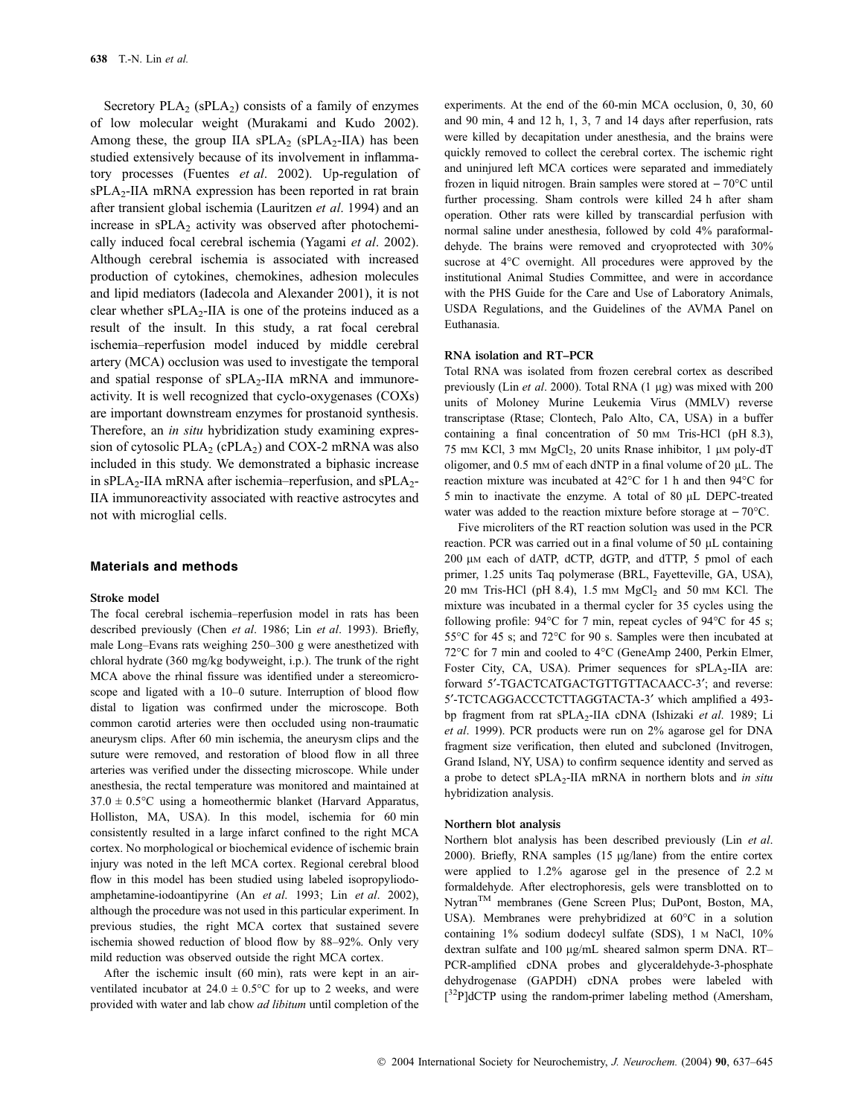Secretory  $PLA_2$  (sPLA<sub>2</sub>) consists of a family of enzymes of low molecular weight (Murakami and Kudo 2002). Among these, the group IIA  $sPLA_2$  ( $sPLA_2$ -IIA) has been studied extensively because of its involvement in inflammatory processes (Fuentes *et al.* 2002). Up-regulation of sPLA<sub>2</sub>-IIA mRNA expression has been reported in rat brain after transient global ischemia (Lauritzen et al. 1994) and an increase in  $sPLA_2$  activity was observed after photochemically induced focal cerebral ischemia (Yagami et al. 2002). Although cerebral ischemia is associated with increased production of cytokines, chemokines, adhesion molecules and lipid mediators (Iadecola and Alexander 2001), it is not clear whether  $sPLA_2$ -IIA is one of the proteins induced as a result of the insult. In this study, a rat focal cerebral ischemia–reperfusion model induced by middle cerebral artery (MCA) occlusion was used to investigate the temporal and spatial response of  $sPLA_2$ -IIA mRNA and immunoreactivity. It is well recognized that cyclo-oxygenases (COXs) are important downstream enzymes for prostanoid synthesis. Therefore, an *in situ* hybridization study examining expression of cytosolic  $PLA_2$  (cPLA<sub>2</sub>) and COX-2 mRNA was also included in this study. We demonstrated a biphasic increase in sPLA<sub>2</sub>-IIA mRNA after ischemia–reperfusion, and sPLA<sub>2</sub>-IIA immunoreactivity associated with reactive astrocytes and not with microglial cells.

#### Materials and methods

#### Stroke model

The focal cerebral ischemia–reperfusion model in rats has been described previously (Chen et al. 1986; Lin et al. 1993). Briefly, male Long–Evans rats weighing 250–300 g were anesthetized with chloral hydrate (360 mg/kg bodyweight, i.p.). The trunk of the right MCA above the rhinal fissure was identified under a stereomicroscope and ligated with a 10–0 suture. Interruption of blood flow distal to ligation was confirmed under the microscope. Both common carotid arteries were then occluded using non-traumatic aneurysm clips. After 60 min ischemia, the aneurysm clips and the suture were removed, and restoration of blood flow in all three arteries was verified under the dissecting microscope. While under anesthesia, the rectal temperature was monitored and maintained at  $37.0 \pm 0.5$ °C using a homeothermic blanket (Harvard Apparatus, Holliston, MA, USA). In this model, ischemia for 60 min consistently resulted in a large infarct confined to the right MCA cortex. No morphological or biochemical evidence of ischemic brain injury was noted in the left MCA cortex. Regional cerebral blood flow in this model has been studied using labeled isopropyliodoamphetamine-iodoantipyrine (An et al. 1993; Lin et al. 2002), although the procedure was not used in this particular experiment. In previous studies, the right MCA cortex that sustained severe ischemia showed reduction of blood flow by 88–92%. Only very mild reduction was observed outside the right MCA cortex.

After the ischemic insult (60 min), rats were kept in an airventilated incubator at  $24.0 \pm 0.5^{\circ}$ C for up to 2 weeks, and were provided with water and lab chow *ad libitum* until completion of the experiments. At the end of the 60-min MCA occlusion, 0, 30, 60 and 90 min, 4 and 12 h, 1, 3, 7 and 14 days after reperfusion, rats were killed by decapitation under anesthesia, and the brains were quickly removed to collect the cerebral cortex. The ischemic right and uninjured left MCA cortices were separated and immediately frozen in liquid nitrogen. Brain samples were stored at  $-70^{\circ}$ C until further processing. Sham controls were killed 24 h after sham operation. Other rats were killed by transcardial perfusion with normal saline under anesthesia, followed by cold 4% paraformaldehyde. The brains were removed and cryoprotected with 30% sucrose at 4°C overnight. All procedures were approved by the institutional Animal Studies Committee, and were in accordance with the PHS Guide for the Care and Use of Laboratory Animals, USDA Regulations, and the Guidelines of the AVMA Panel on Euthanasia.

#### RNA isolation and RT–PCR

Total RNA was isolated from frozen cerebral cortex as described previously (Lin et al. 2000). Total RNA  $(1 \mu g)$  was mixed with 200 units of Moloney Murine Leukemia Virus (MMLV) reverse transcriptase (Rtase; Clontech, Palo Alto, CA, USA) in a buffer containing a final concentration of 50 mm Tris-HCl (pH 8.3), 75 mm KCl, 3 mm  $MgCl<sub>2</sub>$ , 20 units Rnase inhibitor, 1 µm poly-dT oligomer, and  $0.5 \text{ mm}$  of each dNTP in a final volume of  $20 \mu L$ . The reaction mixture was incubated at  $42^{\circ}$ C for 1 h and then  $94^{\circ}$ C for 5 min to inactivate the enzyme. A total of 80 µL DEPC-treated water was added to the reaction mixture before storage at  $-70^{\circ}$ C.

Five microliters of the RT reaction solution was used in the PCR reaction. PCR was carried out in a final volume of 50 uL containing 200 μm each of dATP, dCTP, dGTP, and dTTP, 5 pmol of each primer, 1.25 units Taq polymerase (BRL, Fayetteville, GA, USA),  $20 \text{ mm}$  Tris-HCl (pH 8.4), 1.5 mm MgCl<sub>2</sub> and 50 mm KCl. The mixture was incubated in a thermal cycler for 35 cycles using the following profile:  $94^{\circ}$ C for 7 min, repeat cycles of  $94^{\circ}$ C for 45 s; 55°C for 45 s; and 72°C for 90 s. Samples were then incubated at 72°C for 7 min and cooled to 4°C (GeneAmp 2400, Perkin Elmer, Foster City, CA, USA). Primer sequences for sPLA<sub>2</sub>-IIA are: forward 5'-TGACTCATGACTGTTGTTACAACC-3'; and reverse: 5¢-TCTCAGGACCCTCTTAGGTACTA-3¢ which amplified a 493 bp fragment from rat sPLA<sub>2</sub>-IIA cDNA (Ishizaki et al. 1989; Li et al. 1999). PCR products were run on 2% agarose gel for DNA fragment size verification, then eluted and subcloned (Invitrogen, Grand Island, NY, USA) to confirm sequence identity and served as a probe to detect sPLA<sub>2</sub>-IIA mRNA in northern blots and *in situ* hybridization analysis.

#### Northern blot analysis

Northern blot analysis has been described previously (Lin et al. 2000). Briefly, RNA samples  $(15 \text{ µg}/\text{lane})$  from the entire cortex were applied to 1.2% agarose gel in the presence of 2.2 M formaldehyde. After electrophoresis, gels were transblotted on to Nytran<sup>TM</sup> membranes (Gene Screen Plus; DuPont, Boston, MA, USA). Membranes were prehybridized at  $60^{\circ}$ C in a solution containing 1% sodium dodecyl sulfate (SDS), 1 M NaCl, 10% dextran sulfate and 100 µg/mL sheared salmon sperm DNA. RT-PCR-amplified cDNA probes and glyceraldehyde-3-phosphate dehydrogenase (GAPDH) cDNA probes were labeled with [<sup>32</sup>P]dCTP using the random-primer labeling method (Amersham,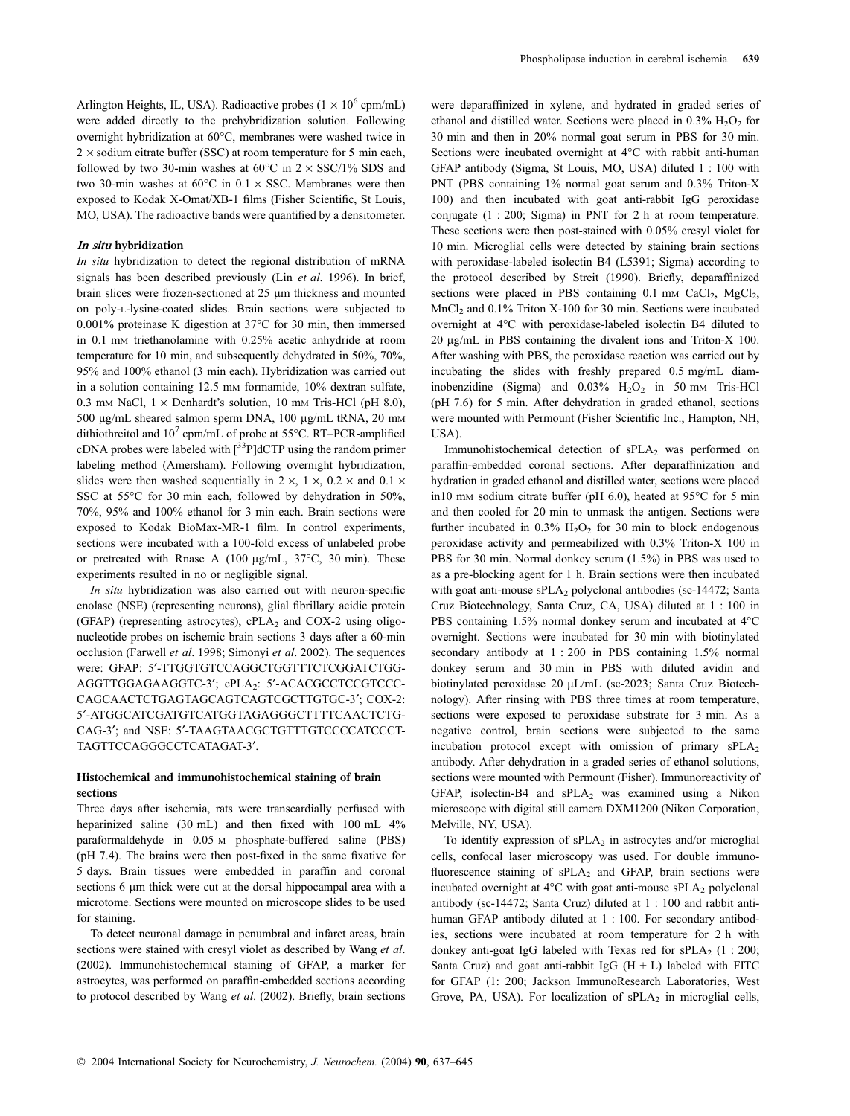Arlington Heights, IL, USA). Radioactive probes ( $1 \times 10^6$  cpm/mL) were added directly to the prehybridization solution. Following overnight hybridization at 60°C, membranes were washed twice in  $2 \times$  sodium citrate buffer (SSC) at room temperature for 5 min each, followed by two 30-min washes at 60 $\degree$ C in 2  $\times$  SSC/1% SDS and two 30-min washes at  $60^{\circ}$ C in  $0.1 \times$  SSC. Membranes were then exposed to Kodak X-Omat/XB-1 films (Fisher Scientific, St Louis, MO, USA). The radioactive bands were quantified by a densitometer.

#### In situ hybridization

In situ hybridization to detect the regional distribution of mRNA signals has been described previously (Lin et al. 1996). In brief, brain slices were frozen-sectioned at 25 µm thickness and mounted on poly-L-lysine-coated slides. Brain sections were subjected to 0.001% proteinase K digestion at  $37^{\circ}$ C for 30 min, then immersed in 0.1 mM triethanolamine with 0.25% acetic anhydride at room temperature for 10 min, and subsequently dehydrated in 50%, 70%, 95% and 100% ethanol (3 min each). Hybridization was carried out in a solution containing 12.5 mm formamide, 10% dextran sulfate, 0.3 mm NaCl,  $1 \times$  Denhardt's solution, 10 mm Tris-HCl (pH 8.0), 500 µg/mL sheared salmon sperm DNA, 100 µg/mL tRNA, 20 mm dithiothreitol and  $10^7$  cpm/mL of probe at 55°C. RT–PCR-amplified cDNA probes were labeled with  $\binom{33}{7}$ ]dCTP using the random primer labeling method (Amersham). Following overnight hybridization, slides were then washed sequentially in  $2 \times$ ,  $1 \times$ ,  $0.2 \times$  and  $0.1 \times$ SSC at 55°C for 30 min each, followed by dehydration in 50%, 70%, 95% and 100% ethanol for 3 min each. Brain sections were exposed to Kodak BioMax-MR-1 film. In control experiments, sections were incubated with a 100-fold excess of unlabeled probe or pretreated with Rnase A (100  $\mu$ g/mL, 37°C, 30 min). These experiments resulted in no or negligible signal.

In situ hybridization was also carried out with neuron-specific enolase (NSE) (representing neurons), glial fibrillary acidic protein (GFAP) (representing astrocytes), cPLA<sub>2</sub> and COX-2 using oligonucleotide probes on ischemic brain sections 3 days after a 60-min occlusion (Farwell et al. 1998; Simonyi et al. 2002). The sequences were: GFAP: 5¢-TTGGTGTCCAGGCTGGTTTCTCGGATCTGG-AGGTTGGAGAAGGTC-3'; cPLA<sub>2</sub>: 5'-ACACGCCTCCGTCCC-CAGCAACTCTGAGTAGCAGTCAGTCGCTTGTGC-3': COX-2: 5¢-ATGGCATCGATGTCATGGTAGAGGGCTTTTCAACTCTG-CAG-3'; and NSE: 5'-TAAGTAACGCTGTTTGTCCCCATCCCT-TAGTTCCAGGGCCTCATAGAT-3'.

## Histochemical and immunohistochemical staining of brain sections

Three days after ischemia, rats were transcardially perfused with heparinized saline (30 mL) and then fixed with 100 mL  $4\%$ paraformaldehyde in 0.05 M phosphate-buffered saline (PBS) (pH 7.4). The brains were then post-fixed in the same fixative for 5 days. Brain tissues were embedded in paraffin and coronal sections 6 µm thick were cut at the dorsal hippocampal area with a microtome. Sections were mounted on microscope slides to be used for staining.

To detect neuronal damage in penumbral and infarct areas, brain sections were stained with cresyl violet as described by Wang et al. (2002). Immunohistochemical staining of GFAP, a marker for astrocytes, was performed on paraffin-embedded sections according to protocol described by Wang et al. (2002). Briefly, brain sections

were deparaffinized in xylene, and hydrated in graded series of ethanol and distilled water. Sections were placed in  $0.3\%$   $H_2O_2$  for 30 min and then in 20% normal goat serum in PBS for 30 min. Sections were incubated overnight at 4°C with rabbit anti-human GFAP antibody (Sigma, St Louis, MO, USA) diluted 1 : 100 with PNT (PBS containing 1% normal goat serum and 0.3% Triton-X 100) and then incubated with goat anti-rabbit IgG peroxidase conjugate (1 : 200; Sigma) in PNT for 2 h at room temperature. These sections were then post-stained with 0.05% cresyl violet for 10 min. Microglial cells were detected by staining brain sections with peroxidase-labeled isolectin B4 (L5391; Sigma) according to the protocol described by Streit (1990). Briefly, deparaffinized sections were placed in PBS containing  $0.1 \text{ mm } \text{CaCl}_2$ ,  $\text{MgCl}_2$ , MnCl<sub>2</sub> and 0.1% Triton X-100 for 30 min. Sections were incubated overnight at 4°C with peroxidase-labeled isolectin B4 diluted to 20 lg/mL in PBS containing the divalent ions and Triton-X 100. After washing with PBS, the peroxidase reaction was carried out by incubating the slides with freshly prepared 0.5 mg/mL diaminobenzidine (Sigma) and  $0.03\%$  H<sub>2</sub>O<sub>2</sub> in 50 mm Tris-HCl (pH 7.6) for 5 min. After dehydration in graded ethanol, sections were mounted with Permount (Fisher Scientific Inc., Hampton, NH, USA).

Immunohistochemical detection of sPLA<sub>2</sub> was performed on paraffin-embedded coronal sections. After deparaffinization and hydration in graded ethanol and distilled water, sections were placed in10 mm sodium citrate buffer (pH 6.0), heated at 95°C for 5 min and then cooled for 20 min to unmask the antigen. Sections were further incubated in  $0.3\%$  H<sub>2</sub>O<sub>2</sub> for 30 min to block endogenous peroxidase activity and permeabilized with 0.3% Triton-X 100 in PBS for 30 min. Normal donkey serum (1.5%) in PBS was used to as a pre-blocking agent for 1 h. Brain sections were then incubated with goat anti-mouse sPLA<sub>2</sub> polyclonal antibodies (sc-14472; Santa Cruz Biotechnology, Santa Cruz, CA, USA) diluted at 1 : 100 in PBS containing 1.5% normal donkey serum and incubated at 4°C overnight. Sections were incubated for 30 min with biotinylated secondary antibody at 1 : 200 in PBS containing 1.5% normal donkey serum and 30 min in PBS with diluted avidin and biotinylated peroxidase 20 µL/mL (sc-2023; Santa Cruz Biotechnology). After rinsing with PBS three times at room temperature, sections were exposed to peroxidase substrate for 3 min. As a negative control, brain sections were subjected to the same incubation protocol except with omission of primary  $sPLA_2$ antibody. After dehydration in a graded series of ethanol solutions, sections were mounted with Permount (Fisher). Immunoreactivity of GFAP, isolectin-B4 and  $sPLA_2$  was examined using a Nikon microscope with digital still camera DXM1200 (Nikon Corporation, Melville, NY, USA).

To identify expression of  $sPLA<sub>2</sub>$  in astrocytes and/or microglial cells, confocal laser microscopy was used. For double immunofluorescence staining of sPLA<sub>2</sub> and GFAP, brain sections were incubated overnight at  $4^{\circ}$ C with goat anti-mouse sPLA<sub>2</sub> polyclonal antibody (sc-14472; Santa Cruz) diluted at 1 : 100 and rabbit antihuman GFAP antibody diluted at 1 : 100. For secondary antibodies, sections were incubated at room temperature for 2 h with donkey anti-goat IgG labeled with Texas red for  $sPLA_2$  (1 : 200; Santa Cruz) and goat anti-rabbit IgG  $(H + L)$  labeled with FITC for GFAP (1: 200; Jackson ImmunoResearch Laboratories, West Grove, PA, USA). For localization of  $sPLA<sub>2</sub>$  in microglial cells,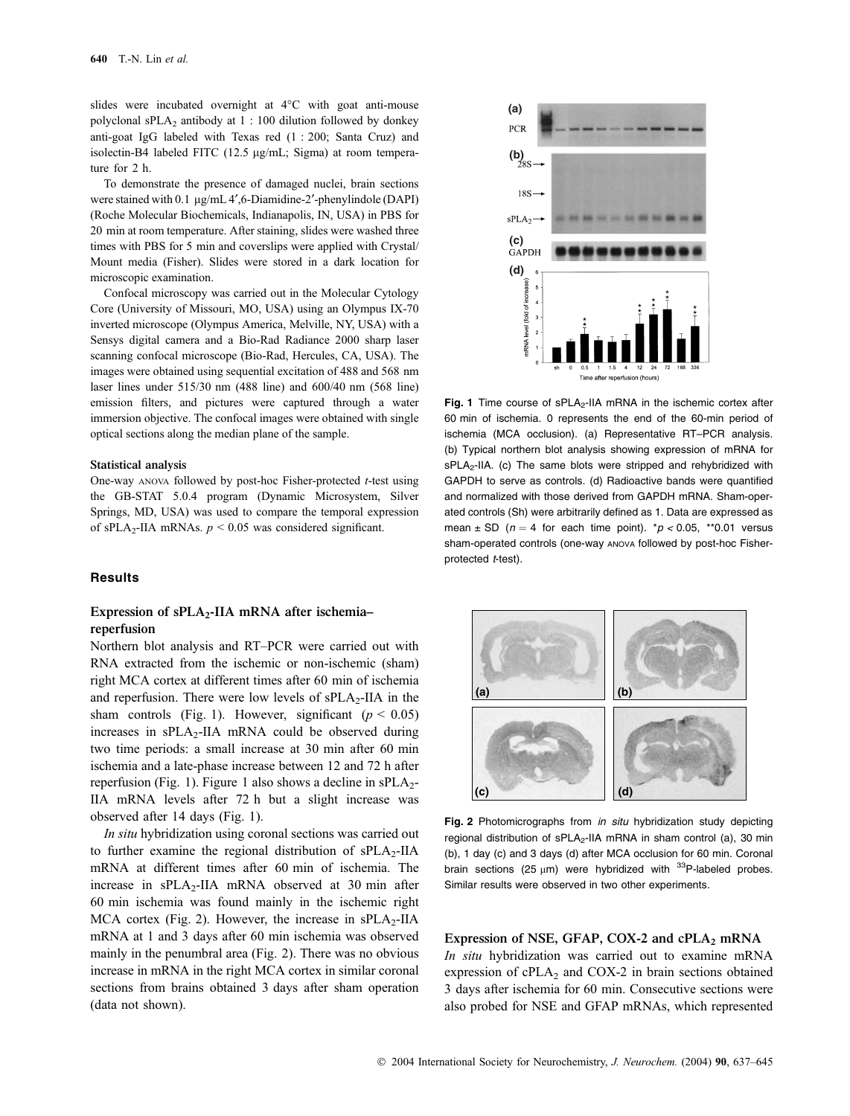slides were incubated overnight at  $4^{\circ}$ C with goat anti-mouse polyclonal sPLA2 antibody at 1 : 100 dilution followed by donkey anti-goat IgG labeled with Texas red (1 : 200; Santa Cruz) and isolectin-B4 labeled FITC  $(12.5 \mu g/mL)$ ; Sigma) at room temperature for 2 h.

To demonstrate the presence of damaged nuclei, brain sections were stained with 0.1 µg/mL 4',6-Diamidine-2'-phenylindole (DAPI) (Roche Molecular Biochemicals, Indianapolis, IN, USA) in PBS for 20 min at room temperature. After staining, slides were washed three times with PBS for 5 min and coverslips were applied with Crystal/ Mount media (Fisher). Slides were stored in a dark location for microscopic examination.

Confocal microscopy was carried out in the Molecular Cytology Core (University of Missouri, MO, USA) using an Olympus IX-70 inverted microscope (Olympus America, Melville, NY, USA) with a Sensys digital camera and a Bio-Rad Radiance 2000 sharp laser scanning confocal microscope (Bio-Rad, Hercules, CA, USA). The images were obtained using sequential excitation of 488 and 568 nm laser lines under 515/30 nm (488 line) and 600/40 nm (568 line) emission filters, and pictures were captured through a water immersion objective. The confocal images were obtained with single optical sections along the median plane of the sample.

#### Statistical analysis

One-way ANOVA followed by post-hoc Fisher-protected t-test using the GB-STAT 5.0.4 program (Dynamic Microsystem, Silver Springs, MD, USA) was used to compare the temporal expression of sPLA<sub>2</sub>-IIA mRNAs.  $p \le 0.05$  was considered significant.

### **Results**

# Expression of  $sPLA_2$ -IIA mRNA after ischemiareperfusion

Northern blot analysis and RT–PCR were carried out with RNA extracted from the ischemic or non-ischemic (sham) right MCA cortex at different times after 60 min of ischemia and reperfusion. There were low levels of  $sPLA_2$ -IIA in the sham controls (Fig. 1). However, significant ( $p < 0.05$ ) increases in  $sPLA_2$ -IIA mRNA could be observed during two time periods: a small increase at 30 min after 60 min ischemia and a late-phase increase between 12 and 72 h after reperfusion (Fig. 1). Figure 1 also shows a decline in  $sPLA_2$ -IIA mRNA levels after 72 h but a slight increase was observed after 14 days (Fig. 1).

In situ hybridization using coronal sections was carried out to further examine the regional distribution of  $sPLA_2-IIA$ mRNA at different times after 60 min of ischemia. The increase in  $sPLA_2$ -IIA mRNA observed at 30 min after 60 min ischemia was found mainly in the ischemic right MCA cortex (Fig. 2). However, the increase in  $sPLA_2-IIA$ mRNA at 1 and 3 days after 60 min ischemia was observed mainly in the penumbral area (Fig. 2). There was no obvious increase in mRNA in the right MCA cortex in similar coronal sections from brains obtained 3 days after sham operation (data not shown).



Fig. 1 Time course of  $sPLA_2$ -IIA mRNA in the ischemic cortex after 60 min of ischemia. 0 represents the end of the 60-min period of ischemia (MCA occlusion). (a) Representative RT–PCR analysis. (b) Typical northern blot analysis showing expression of mRNA for sPLA<sub>2</sub>-IIA. (c) The same blots were stripped and rehybridized with GAPDH to serve as controls. (d) Radioactive bands were quantified and normalized with those derived from GAPDH mRNA. Sham-operated controls (Sh) were arbitrarily defined as 1. Data are expressed as mean  $\pm$  SD ( $n = 4$  for each time point).  $p < 0.05$ , \*\*0.01 versus sham-operated controls (one-way ANOVA followed by post-hoc Fisherprotected t-test).



Fig. 2 Photomicrographs from in situ hybridization study depicting regional distribution of sPLA<sub>2</sub>-IIA mRNA in sham control (a), 30 min (b), 1 day (c) and 3 days (d) after MCA occlusion for 60 min. Coronal brain sections (25  $\mu$ m) were hybridized with <sup>33</sup>P-labeled probes. Similar results were observed in two other experiments.

Expression of NSE, GFAP, COX-2 and cPLA $_2$  mRNA

In situ hybridization was carried out to examine mRNA expression of  $cPLA_2$  and  $COX-2$  in brain sections obtained 3 days after ischemia for 60 min. Consecutive sections were also probed for NSE and GFAP mRNAs, which represented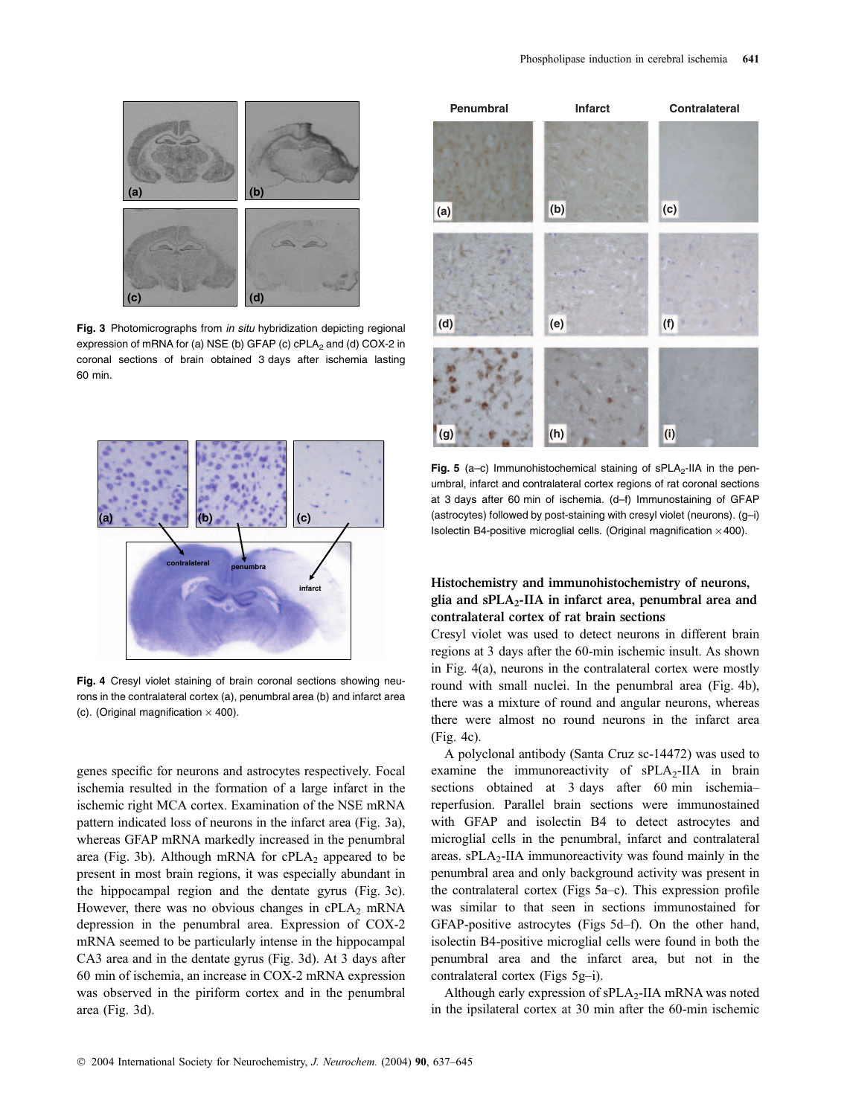

Fig. 3 Photomicrographs from in situ hybridization depicting regional expression of mRNA for (a) NSE (b) GFAP (c)  $cPLA<sub>2</sub>$  and (d) COX-2 in coronal sections of brain obtained 3 days after ischemia lasting 60 min.



Fig. 4 Cresyl violet staining of brain coronal sections showing neurons in the contralateral cortex (a), penumbral area (b) and infarct area (c). (Original magnification  $\times$  400).

genes specific for neurons and astrocytes respectively. Focal ischemia resulted in the formation of a large infarct in the ischemic right MCA cortex. Examination of the NSE mRNA pattern indicated loss of neurons in the infarct area (Fig. 3a), whereas GFAP mRNA markedly increased in the penumbral area (Fig. 3b). Although mRNA for  $cPLA_2$  appeared to be present in most brain regions, it was especially abundant in the hippocampal region and the dentate gyrus (Fig. 3c). However, there was no obvious changes in  $cPLA_2$  mRNA depression in the penumbral area. Expression of COX-2 mRNA seemed to be particularly intense in the hippocampal CA3 area and in the dentate gyrus (Fig. 3d). At 3 days after 60 min of ischemia, an increase in COX-2 mRNA expression was observed in the piriform cortex and in the penumbral area (Fig. 3d).



Fig. 5 (a–c) Immunohistochemical staining of  $sPLA_2$ -IIA in the penumbral, infarct and contralateral cortex regions of rat coronal sections at 3 days after 60 min of ischemia. (d–f) Immunostaining of GFAP (astrocytes) followed by post-staining with cresyl violet (neurons). (g–i) Isolectin B4-positive microglial cells. (Original magnification  $\times$  400).

## Histochemistry and immunohistochemistry of neurons, glia and  $sPLA_2$ -IIA in infarct area, penumbral area and contralateral cortex of rat brain sections

Cresyl violet was used to detect neurons in different brain regions at 3 days after the 60-min ischemic insult. As shown in Fig. 4(a), neurons in the contralateral cortex were mostly round with small nuclei. In the penumbral area (Fig. 4b), there was a mixture of round and angular neurons, whereas there were almost no round neurons in the infarct area (Fig. 4c).

A polyclonal antibody (Santa Cruz sc-14472) was used to examine the immunoreactivity of sPLA<sub>2</sub>-IIA in brain sections obtained at 3 days after 60 min ischemia– reperfusion. Parallel brain sections were immunostained with GFAP and isolectin B4 to detect astrocytes and microglial cells in the penumbral, infarct and contralateral areas.  $sPLA_2$ -IIA immunoreactivity was found mainly in the penumbral area and only background activity was present in the contralateral cortex (Figs 5a–c). This expression profile was similar to that seen in sections immunostained for GFAP-positive astrocytes (Figs 5d–f). On the other hand, isolectin B4-positive microglial cells were found in both the penumbral area and the infarct area, but not in the contralateral cortex (Figs 5g–i).

Although early expression of  $sPLA_2$ -IIA mRNA was noted in the ipsilateral cortex at 30 min after the 60-min ischemic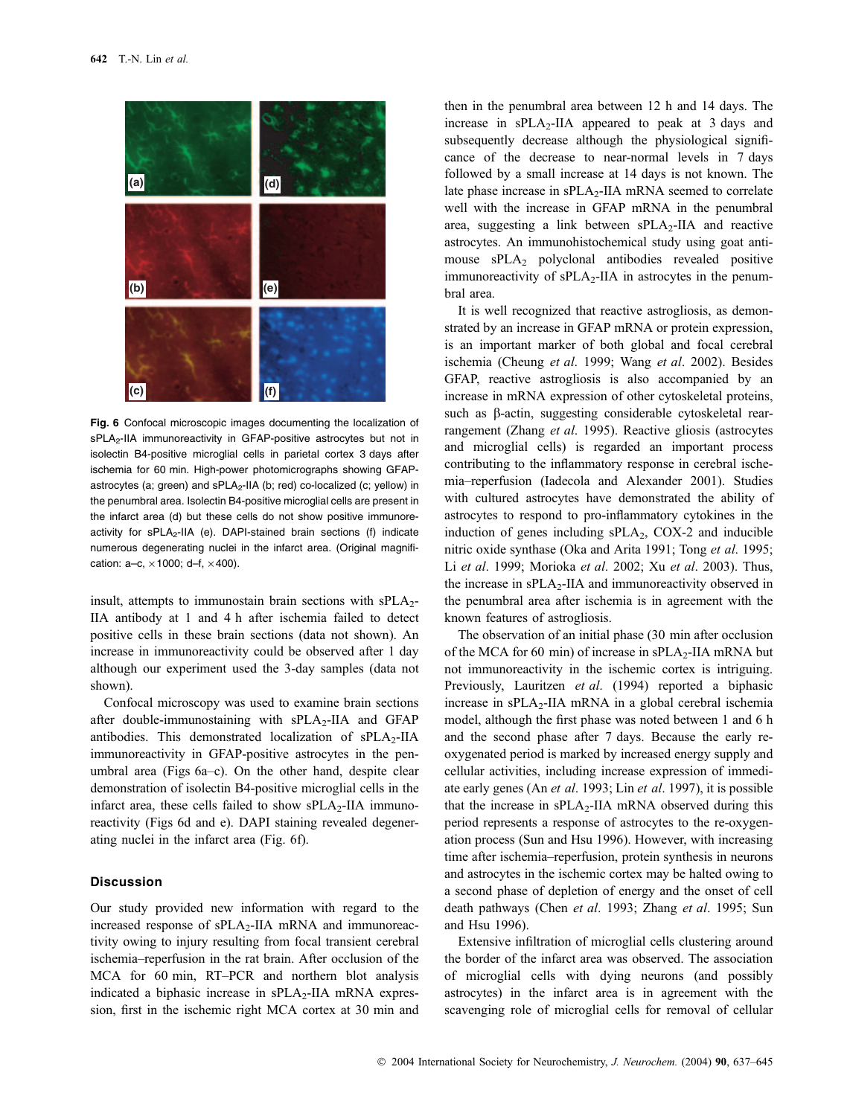

Fig. 6 Confocal microscopic images documenting the localization of  $sPLA<sub>2</sub>-IIA$  immunoreactivity in GFAP-positive astrocytes but not in isolectin B4-positive microglial cells in parietal cortex 3 days after ischemia for 60 min. High-power photomicrographs showing GFAPastrocytes (a; green) and sPLA<sub>2</sub>-IIA (b; red) co-localized (c; yellow) in the penumbral area. Isolectin B4-positive microglial cells are present in the infarct area (d) but these cells do not show positive immunoreactivity for  $sPLA_2-IIA$  (e). DAPI-stained brain sections (f) indicate numerous degenerating nuclei in the infarct area. (Original magnification:  $a-c$ ,  $\times$  1000;  $d-f$ ,  $\times$  400).

insult, attempts to immunostain brain sections with  $sPLA<sub>2</sub>$ -IIA antibody at 1 and 4 h after ischemia failed to detect positive cells in these brain sections (data not shown). An increase in immunoreactivity could be observed after 1 day although our experiment used the 3-day samples (data not shown).

Confocal microscopy was used to examine brain sections after double-immunostaining with  $sPLA_2$ -IIA and GFAP antibodies. This demonstrated localization of  $sPLA_2-IIA$ immunoreactivity in GFAP-positive astrocytes in the penumbral area (Figs 6a–c). On the other hand, despite clear demonstration of isolectin B4-positive microglial cells in the infarct area, these cells failed to show  $sPLA_2$ -IIA immunoreactivity (Figs 6d and e). DAPI staining revealed degenerating nuclei in the infarct area (Fig. 6f).

## Discussion

Our study provided new information with regard to the increased response of  $sPLA_2$ -IIA mRNA and immunoreactivity owing to injury resulting from focal transient cerebral ischemia–reperfusion in the rat brain. After occlusion of the MCA for 60 min, RT–PCR and northern blot analysis indicated a biphasic increase in  $sPLA_2$ -IIA mRNA expression, first in the ischemic right MCA cortex at 30 min and

then in the penumbral area between 12 h and 14 days. The increase in  $sPLA_2$ -IIA appeared to peak at 3 days and subsequently decrease although the physiological significance of the decrease to near-normal levels in 7 days followed by a small increase at 14 days is not known. The late phase increase in sPLA<sub>2</sub>-IIA mRNA seemed to correlate well with the increase in GFAP mRNA in the penumbral area, suggesting a link between  $sPLA_2-IIA$  and reactive astrocytes. An immunohistochemical study using goat antimouse sPLA<sub>2</sub> polyclonal antibodies revealed positive immunoreactivity of sPLA<sub>2</sub>-IIA in astrocytes in the penumbral area.

It is well recognized that reactive astrogliosis, as demonstrated by an increase in GFAP mRNA or protein expression, is an important marker of both global and focal cerebral ischemia (Cheung et al. 1999; Wang et al. 2002). Besides GFAP, reactive astrogliosis is also accompanied by an increase in mRNA expression of other cytoskeletal proteins, such as  $\beta$ -actin, suggesting considerable cytoskeletal rearrangement (Zhang et al. 1995). Reactive gliosis (astrocytes and microglial cells) is regarded an important process contributing to the inflammatory response in cerebral ischemia–reperfusion (Iadecola and Alexander 2001). Studies with cultured astrocytes have demonstrated the ability of astrocytes to respond to pro-inflammatory cytokines in the induction of genes including  $sPLA_2$ , COX-2 and inducible nitric oxide synthase (Oka and Arita 1991; Tong et al. 1995; Li et al. 1999; Morioka et al. 2002; Xu et al. 2003). Thus, the increase in  $\text{SPLA}_2\text{-IIA}$  and immunoreactivity observed in the penumbral area after ischemia is in agreement with the known features of astrogliosis.

The observation of an initial phase (30 min after occlusion of the MCA for 60 min) of increase in  $sPLA_2$ -IIA mRNA but not immunoreactivity in the ischemic cortex is intriguing. Previously, Lauritzen et al. (1994) reported a biphasic increase in  $sPLA_2$ -IIA mRNA in a global cerebral ischemia model, although the first phase was noted between 1 and 6 h and the second phase after 7 days. Because the early reoxygenated period is marked by increased energy supply and cellular activities, including increase expression of immediate early genes (An et al. 1993; Lin et al. 1997), it is possible that the increase in  $sPLA_2$ -IIA mRNA observed during this period represents a response of astrocytes to the re-oxygenation process (Sun and Hsu 1996). However, with increasing time after ischemia–reperfusion, protein synthesis in neurons and astrocytes in the ischemic cortex may be halted owing to a second phase of depletion of energy and the onset of cell death pathways (Chen et al. 1993; Zhang et al. 1995; Sun and Hsu 1996).

Extensive infiltration of microglial cells clustering around the border of the infarct area was observed. The association of microglial cells with dying neurons (and possibly astrocytes) in the infarct area is in agreement with the scavenging role of microglial cells for removal of cellular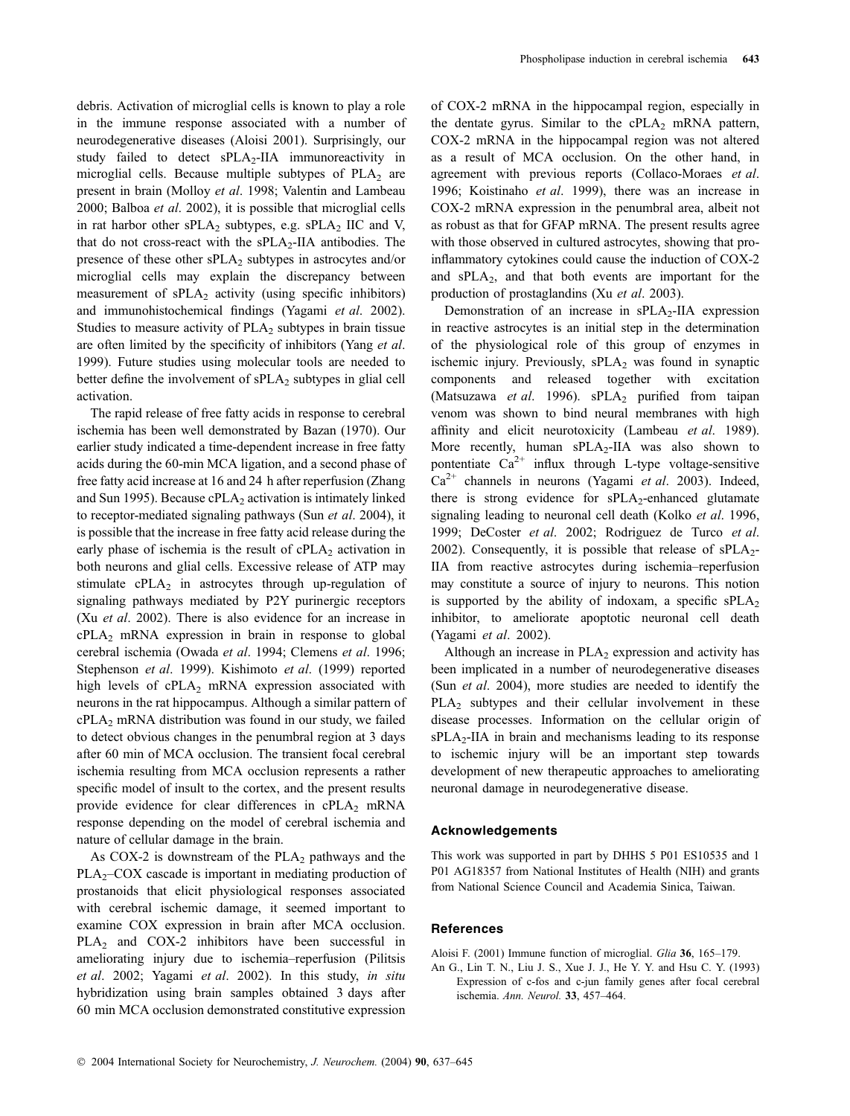debris. Activation of microglial cells is known to play a role in the immune response associated with a number of neurodegenerative diseases (Aloisi 2001). Surprisingly, our study failed to detect sPLA2-IIA immunoreactivity in microglial cells. Because multiple subtypes of  $PLA<sub>2</sub>$  are present in brain (Molloy et al. 1998; Valentin and Lambeau 2000; Balboa et al. 2002), it is possible that microglial cells in rat harbor other  $sPLA_2$  subtypes, e.g.  $sPLA_2$  IIC and V, that do not cross-react with the  $sPLA_2$ -IIA antibodies. The presence of these other  $sPLA_2$  subtypes in astrocytes and/or microglial cells may explain the discrepancy between measurement of  $sPLA_2$  activity (using specific inhibitors) and immunohistochemical findings (Yagami et al. 2002). Studies to measure activity of  $PLA<sub>2</sub>$  subtypes in brain tissue are often limited by the specificity of inhibitors (Yang et al. 1999). Future studies using molecular tools are needed to better define the involvement of  $sPLA_2$  subtypes in glial cell activation.

The rapid release of free fatty acids in response to cerebral ischemia has been well demonstrated by Bazan (1970). Our earlier study indicated a time-dependent increase in free fatty acids during the 60-min MCA ligation, and a second phase of free fatty acid increase at 16 and 24 h after reperfusion (Zhang and Sun 1995). Because  $cPLA<sub>2</sub>$  activation is intimately linked to receptor-mediated signaling pathways (Sun et al. 2004), it is possible that the increase in free fatty acid release during the early phase of ischemia is the result of  $cPLA<sub>2</sub>$  activation in both neurons and glial cells. Excessive release of ATP may stimulate  $cPLA_2$  in astrocytes through up-regulation of signaling pathways mediated by P2Y purinergic receptors (Xu et al. 2002). There is also evidence for an increase in  $cPLA_2$  mRNA expression in brain in response to global cerebral ischemia (Owada et al. 1994; Clemens et al. 1996; Stephenson et al. 1999). Kishimoto et al. (1999) reported high levels of  $cPLA_2$  mRNA expression associated with neurons in the rat hippocampus. Although a similar pattern of  $cPLA<sub>2</sub>$  mRNA distribution was found in our study, we failed to detect obvious changes in the penumbral region at 3 days after 60 min of MCA occlusion. The transient focal cerebral ischemia resulting from MCA occlusion represents a rather specific model of insult to the cortex, and the present results provide evidence for clear differences in  $cPLA_2$  mRNA response depending on the model of cerebral ischemia and nature of cellular damage in the brain.

As COX-2 is downstream of the  $PLA_2$  pathways and the  $PLA_2-COX$  cascade is important in mediating production of prostanoids that elicit physiological responses associated with cerebral ischemic damage, it seemed important to examine COX expression in brain after MCA occlusion. PLA<sub>2</sub> and COX-2 inhibitors have been successful in ameliorating injury due to ischemia–reperfusion (Pilitsis et al. 2002; Yagami et al. 2002). In this study, in situ hybridization using brain samples obtained 3 days after 60 min MCA occlusion demonstrated constitutive expression

of COX-2 mRNA in the hippocampal region, especially in the dentate gyrus. Similar to the  $cPLA_2$  mRNA pattern, COX-2 mRNA in the hippocampal region was not altered as a result of MCA occlusion. On the other hand, in agreement with previous reports (Collaco-Moraes et al. 1996; Koistinaho et al. 1999), there was an increase in COX-2 mRNA expression in the penumbral area, albeit not as robust as that for GFAP mRNA. The present results agree with those observed in cultured astrocytes, showing that proinflammatory cytokines could cause the induction of COX-2 and sPLA2, and that both events are important for the production of prostaglandins (Xu et al. 2003).

Demonstration of an increase in  $sPLA_2$ -IIA expression in reactive astrocytes is an initial step in the determination of the physiological role of this group of enzymes in ischemic injury. Previously, sPLA<sub>2</sub> was found in synaptic components and released together with excitation (Matsuzawa et al. 1996).  $sPLA_2$  purified from taipan venom was shown to bind neural membranes with high affinity and elicit neurotoxicity (Lambeau et al. 1989). More recently, human sPLA<sub>2</sub>-IIA was also shown to pontentiate  $Ca^{2+}$  influx through L-type voltage-sensitive  $Ca^{2+}$  channels in neurons (Yagami *et al.* 2003). Indeed, there is strong evidence for  $sPLA_2$ -enhanced glutamate signaling leading to neuronal cell death (Kolko et al. 1996, 1999; DeCoster et al. 2002; Rodriguez de Turco et al. 2002). Consequently, it is possible that release of  $sPLA_2$ -IIA from reactive astrocytes during ischemia–reperfusion may constitute a source of injury to neurons. This notion is supported by the ability of indoxam, a specific  $sPLA<sub>2</sub>$ inhibitor, to ameliorate apoptotic neuronal cell death (Yagami et al. 2002).

Although an increase in  $PLA_2$  expression and activity has been implicated in a number of neurodegenerative diseases (Sun et al. 2004), more studies are needed to identify the  $PLA<sub>2</sub>$  subtypes and their cellular involvement in these disease processes. Information on the cellular origin of  $sPLA_2$ -IIA in brain and mechanisms leading to its response to ischemic injury will be an important step towards development of new therapeutic approaches to ameliorating neuronal damage in neurodegenerative disease.

#### Acknowledgements

This work was supported in part by DHHS 5 P01 ES10535 and 1 P01 AG18357 from National Institutes of Health (NIH) and grants from National Science Council and Academia Sinica, Taiwan.

## **References**

Aloisi F. (2001) Immune function of microglial. Glia 36, 165–179.

An G., Lin T. N., Liu J. S., Xue J. J., He Y. Y. and Hsu C. Y. (1993) Expression of c-fos and c-jun family genes after focal cerebral ischemia. Ann. Neurol. 33, 457–464.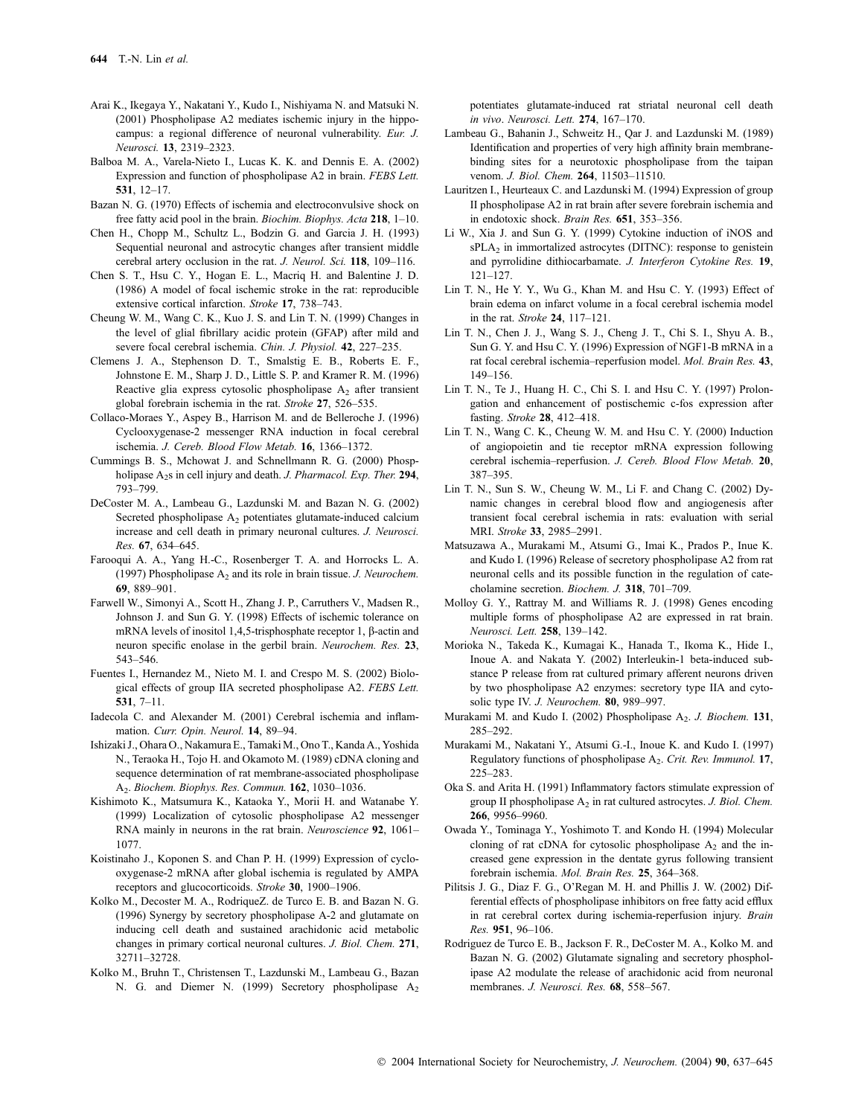- Arai K., Ikegaya Y., Nakatani Y., Kudo I., Nishiyama N. and Matsuki N. (2001) Phospholipase A2 mediates ischemic injury in the hippocampus: a regional difference of neuronal vulnerability. Eur. J. Neurosci. 13, 2319–2323.
- Balboa M. A., Varela-Nieto I., Lucas K. K. and Dennis E. A. (2002) Expression and function of phospholipase A2 in brain. FEBS Lett. 531, 12–17.
- Bazan N. G. (1970) Effects of ischemia and electroconvulsive shock on free fatty acid pool in the brain. Biochim. Biophys. Acta 218, 1–10.
- Chen H., Chopp M., Schultz L., Bodzin G. and Garcia J. H. (1993) Sequential neuronal and astrocytic changes after transient middle cerebral artery occlusion in the rat. J. Neurol. Sci. 118, 109-116.
- Chen S. T., Hsu C. Y., Hogan E. L., Macriq H. and Balentine J. D. (1986) A model of focal ischemic stroke in the rat: reproducible extensive cortical infarction. Stroke 17, 738-743.
- Cheung W. M., Wang C. K., Kuo J. S. and Lin T. N. (1999) Changes in the level of glial fibrillary acidic protein (GFAP) after mild and severe focal cerebral ischemia. Chin. J. Physiol. 42, 227–235.
- Clemens J. A., Stephenson D. T., Smalstig E. B., Roberts E. F., Johnstone E. M., Sharp J. D., Little S. P. and Kramer R. M. (1996) Reactive glia express cytosolic phospholipase  $A_2$  after transient global forebrain ischemia in the rat. Stroke 27, 526–535.
- Collaco-Moraes Y., Aspey B., Harrison M. and de Belleroche J. (1996) Cyclooxygenase-2 messenger RNA induction in focal cerebral ischemia. J. Cereb. Blood Flow Metab. 16, 1366–1372.
- Cummings B. S., Mchowat J. and Schnellmann R. G. (2000) Phospholipase A<sub>2</sub>s in cell injury and death. J. Pharmacol. Exp. Ther. 294, 793–799.
- DeCoster M. A., Lambeau G., Lazdunski M. and Bazan N. G. (2002) Secreted phospholipase A<sub>2</sub> potentiates glutamate-induced calcium increase and cell death in primary neuronal cultures. J. Neurosci. Res. 67, 634–645.
- Farooqui A. A., Yang H.-C., Rosenberger T. A. and Horrocks L. A. (1997) Phospholipase  $A_2$  and its role in brain tissue. J. Neurochem. 69, 889–901.
- Farwell W., Simonyi A., Scott H., Zhang J. P., Carruthers V., Madsen R., Johnson J. and Sun G. Y. (1998) Effects of ischemic tolerance on mRNA levels of inositol 1,4,5-trisphosphate receptor 1,  $\beta$ -actin and neuron specific enolase in the gerbil brain. Neurochem. Res. 23, 543–546.
- Fuentes I., Hernandez M., Nieto M. I. and Crespo M. S. (2002) Biological effects of group IIA secreted phospholipase A2. FEBS Lett. 531, 7–11.
- Iadecola C. and Alexander M. (2001) Cerebral ischemia and inflammation. Curr. Opin. Neurol. 14, 89–94.
- Ishizaki J., Ohara O., Nakamura E., Tamaki M., Ono T., Kanda A., Yoshida N., Teraoka H., Tojo H. and Okamoto M. (1989) cDNA cloning and sequence determination of rat membrane-associated phospholipase A2. Biochem. Biophys. Res. Commun. 162, 1030–1036.
- Kishimoto K., Matsumura K., Kataoka Y., Morii H. and Watanabe Y. (1999) Localization of cytosolic phospholipase A2 messenger RNA mainly in neurons in the rat brain. Neuroscience 92, 1061– 1077.
- Koistinaho J., Koponen S. and Chan P. H. (1999) Expression of cyclooxygenase-2 mRNA after global ischemia is regulated by AMPA receptors and glucocorticoids. Stroke 30, 1900–1906.
- Kolko M., Decoster M. A., RodriqueZ. de Turco E. B. and Bazan N. G. (1996) Synergy by secretory phospholipase A-2 and glutamate on inducing cell death and sustained arachidonic acid metabolic changes in primary cortical neuronal cultures. J. Biol. Chem. 271, 32711–32728.
- Kolko M., Bruhn T., Christensen T., Lazdunski M., Lambeau G., Bazan N. G. and Diemer N. (1999) Secretory phospholipase  $A_2$

potentiates glutamate-induced rat striatal neuronal cell death in vivo. Neurosci. Lett. 274, 167–170.

- Lambeau G., Bahanin J., Schweitz H., Qar J. and Lazdunski M. (1989) Identification and properties of very high affinity brain membranebinding sites for a neurotoxic phospholipase from the taipan venom. J. Biol. Chem. 264, 11503–11510.
- Lauritzen I., Heurteaux C. and Lazdunski M. (1994) Expression of group II phospholipase A2 in rat brain after severe forebrain ischemia and in endotoxic shock. Brain Res. 651, 353–356.
- Li W., Xia J. and Sun G. Y. (1999) Cytokine induction of iNOS and  $sPLA<sub>2</sub>$  in immortalized astrocytes (DITNC): response to genistein and pyrrolidine dithiocarbamate. J. Interferon Cytokine Res. 19, 121–127.
- Lin T. N., He Y. Y., Wu G., Khan M. and Hsu C. Y. (1993) Effect of brain edema on infarct volume in a focal cerebral ischemia model in the rat. Stroke 24, 117–121.
- Lin T. N., Chen J. J., Wang S. J., Cheng J. T., Chi S. I., Shyu A. B., Sun G. Y. and Hsu C. Y. (1996) Expression of NGF1-B mRNA in a rat focal cerebral ischemia–reperfusion model. Mol. Brain Res. 43, 149–156.
- Lin T. N., Te J., Huang H. C., Chi S. I. and Hsu C. Y. (1997) Prolongation and enhancement of postischemic c-fos expression after fasting. Stroke 28, 412–418.
- Lin T. N., Wang C. K., Cheung W. M. and Hsu C. Y. (2000) Induction of angiopoietin and tie receptor mRNA expression following cerebral ischemia–reperfusion. J. Cereb. Blood Flow Metab. 20, 387–395.
- Lin T. N., Sun S. W., Cheung W. M., Li F. and Chang C. (2002) Dynamic changes in cerebral blood flow and angiogenesis after transient focal cerebral ischemia in rats: evaluation with serial MRI. Stroke 33, 2985–2991.
- Matsuzawa A., Murakami M., Atsumi G., Imai K., Prados P., Inue K. and Kudo I. (1996) Release of secretory phospholipase A2 from rat neuronal cells and its possible function in the regulation of catecholamine secretion. Biochem. J. 318, 701–709.
- Molloy G. Y., Rattray M. and Williams R. J. (1998) Genes encoding multiple forms of phospholipase A2 are expressed in rat brain. Neurosci. Lett. 258, 139–142.
- Morioka N., Takeda K., Kumagai K., Hanada T., Ikoma K., Hide I., Inoue A. and Nakata Y. (2002) Interleukin-1 beta-induced substance P release from rat cultured primary afferent neurons driven by two phospholipase A2 enzymes: secretory type IIA and cytosolic type IV. J. Neurochem. 80, 989-997.
- Murakami M. and Kudo I. (2002) Phospholipase A<sub>2</sub>. J. Biochem. 131, 285–292.
- Murakami M., Nakatani Y., Atsumi G.-I., Inoue K. and Kudo I. (1997) Regulatory functions of phospholipase A<sub>2</sub>. Crit. Rev. Immunol. 17, 225–283.
- Oka S. and Arita H. (1991) Inflammatory factors stimulate expression of group II phospholipase  $A_2$  in rat cultured astrocytes. J. Biol. Chem. 266, 9956–9960.
- Owada Y., Tominaga Y., Yoshimoto T. and Kondo H. (1994) Molecular cloning of rat cDNA for cytosolic phospholipase  $A_2$  and the increased gene expression in the dentate gyrus following transient forebrain ischemia. Mol. Brain Res. 25, 364–368.
- Pilitsis J. G., Diaz F. G., O'Regan M. H. and Phillis J. W. (2002) Differential effects of phospholipase inhibitors on free fatty acid efflux in rat cerebral cortex during ischemia-reperfusion injury. Brain Res. 951, 96–106.
- Rodriguez de Turco E. B., Jackson F. R., DeCoster M. A., Kolko M. and Bazan N. G. (2002) Glutamate signaling and secretory phospholipase A2 modulate the release of arachidonic acid from neuronal membranes. J. Neurosci. Res. 68, 558-567.